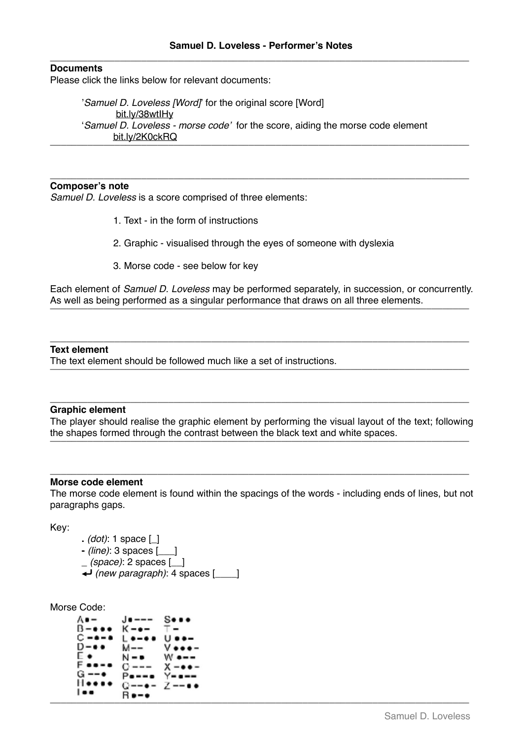# **Documents**

Please click the links below for relevant documents:

'*Samuel D. Loveless [Word]*' for the original score [Word] [bit.ly/38wtIHy](https://bit.ly/38wtIHy) '*Samuel D. Loveless - morse code'* for the score, aiding the morse code element [bit.ly/2K0ckRQ](https://bit.ly/2K0ckRQ) \_\_\_\_\_\_\_\_\_\_\_\_\_\_\_\_\_\_\_\_\_\_\_\_\_\_\_\_\_\_\_\_\_\_\_\_\_\_\_\_\_\_\_\_\_\_\_\_\_\_\_\_\_\_\_\_\_\_\_\_\_\_\_\_\_\_\_\_\_\_\_\_\_\_\_\_\_\_

\_\_\_\_\_\_\_\_\_\_\_\_\_\_\_\_\_\_\_\_\_\_\_\_\_\_\_\_\_\_\_\_\_\_\_\_\_\_\_\_\_\_\_\_\_\_\_\_\_\_\_\_\_\_\_\_\_\_\_\_\_\_\_\_\_\_\_\_\_\_\_\_\_\_\_\_\_\_

## **Composer's note**

*Samuel D. Loveless* is a score comprised of three elements:

- 1. Text in the form of instructions
- 2. Graphic visualised through the eyes of someone with dyslexia
- 3. Morse code see below for key

Each element of *Samuel D. Loveless* may be performed separately, in succession, or concurrently. As well as being performed as a singular performance that draws on all three elements.<br>————————————————————

\_\_\_\_\_\_\_\_\_\_\_\_\_\_\_\_\_\_\_\_\_\_\_\_\_\_\_\_\_\_\_\_\_\_\_\_\_\_\_\_\_\_\_\_\_\_\_\_\_\_\_\_\_\_\_\_\_\_\_\_\_\_\_\_\_\_\_\_\_\_\_\_\_\_\_\_\_\_

### **Text element**

The text element should be followed much like a set of instructions.<br>————————————————————

#### **Graphic element**

The player should realise the graphic element by performing the visual layout of the text; following the shapes formed through the contrast between the black text and white spaces. \_\_\_\_\_\_\_\_\_\_\_\_\_\_\_\_\_\_\_\_\_\_\_\_\_\_\_\_\_\_\_\_\_\_\_\_\_\_\_\_\_\_\_\_\_\_\_\_\_\_\_\_\_\_\_\_\_\_\_\_\_\_\_\_\_\_\_\_\_\_\_\_\_\_\_\_\_\_

\_\_\_\_\_\_\_\_\_\_\_\_\_\_\_\_\_\_\_\_\_\_\_\_\_\_\_\_\_\_\_\_\_\_\_\_\_\_\_\_\_\_\_\_\_\_\_\_\_\_\_\_\_\_\_\_\_\_\_\_\_\_\_\_\_\_\_\_\_\_\_\_\_\_\_\_\_\_

#### **Morse code element**

The morse code element is found within the spacings of the words - including ends of lines, but not paragraphs gaps.

**\_\_\_\_\_\_\_\_\_\_\_\_\_\_\_\_\_\_\_\_\_\_\_\_\_\_\_\_\_\_\_\_\_\_\_\_\_\_\_\_\_\_\_\_\_\_\_\_\_\_\_\_\_\_\_\_\_\_\_\_\_\_\_\_\_\_\_\_\_\_\_\_\_\_\_\_\_\_**

Key:

**.** *(dot)*: 1 space [\_] **-** *(line)*: 3 spaces [\_\_\_] **\_** *(space)*: 2 spaces [\_\_] ⏎ *(new paragraph)*: 4 spaces [\_\_\_\_]

```
Morse Code:
```

```
А.
                     7
______________________________________________________________________________
```